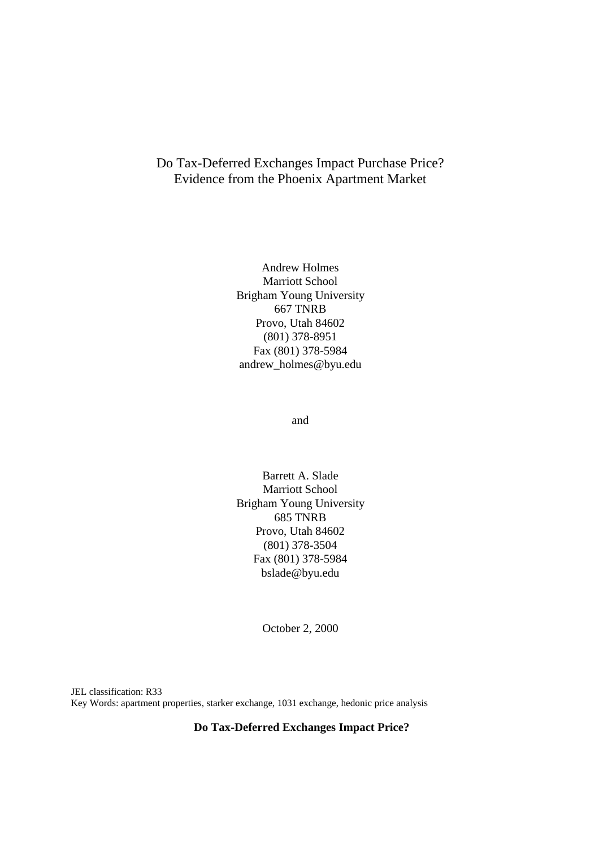# Do Tax-Deferred Exchanges Impact Purchase Price? Evidence from the Phoenix Apartment Market

Andrew Holmes Marriott School Brigham Young University 667 TNRB Provo, Utah 84602 (801) 378-8951 Fax (801) 378-5984 andrew\_holmes@byu.edu

and

Barrett A. Slade Marriott School Brigham Young University 685 TNRB Provo, Utah 84602 (801) 378-3504 Fax (801) 378-5984 bslade@byu.edu

October 2, 2000

JEL classification: R33 Key Words: apartment properties, starker exchange, 1031 exchange, hedonic price analysis

## **Do Tax-Deferred Exchanges Impact Price?**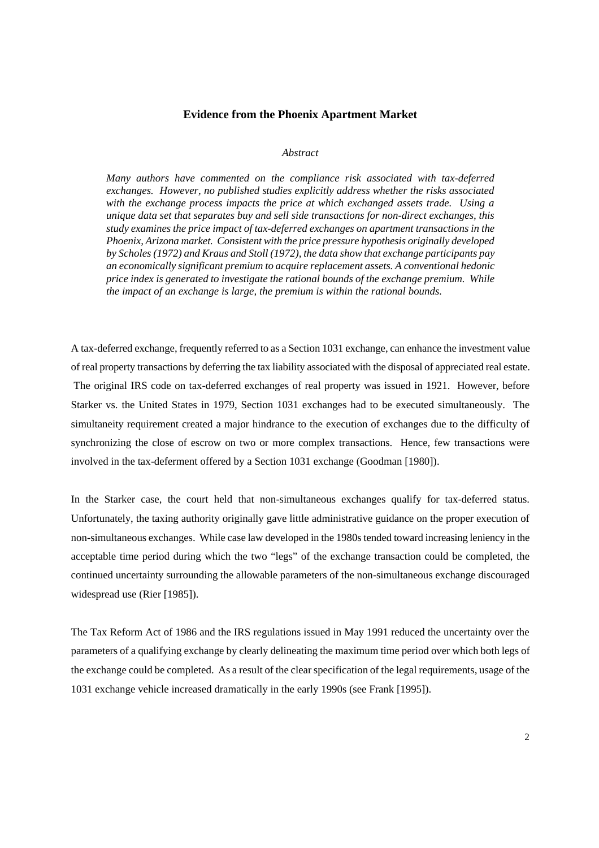## **Evidence from the Phoenix Apartment Market**

#### *Abstract*

*Many authors have commented on the compliance risk associated with tax-deferred exchanges. However, no published studies explicitly address whether the risks associated with the exchange process impacts the price at which exchanged assets trade. Using a unique data set that separates buy and sell side transactions for non-direct exchanges, this study examines the price impact of tax-deferred exchanges on apartment transactions in the Phoenix, Arizona market. Consistent with the price pressure hypothesis originally developed by Scholes (1972) and Kraus and Stoll (1972), the data show that exchange participants pay an economically significant premium to acquire replacement assets. A conventional hedonic price index is generated to investigate the rational bounds of the exchange premium. While the impact of an exchange is large, the premium is within the rational bounds.* 

A tax-deferred exchange, frequently referred to as a Section 1031 exchange, can enhance the investment value of real property transactions by deferring the tax liability associated with the disposal of appreciated real estate. The original IRS code on tax-deferred exchanges of real property was issued in 1921. However, before Starker vs. the United States in 1979, Section 1031 exchanges had to be executed simultaneously. The simultaneity requirement created a major hindrance to the execution of exchanges due to the difficulty of synchronizing the close of escrow on two or more complex transactions. Hence, few transactions were involved in the tax-deferment offered by a Section 1031 exchange (Goodman [1980]).

In the Starker case, the court held that non-simultaneous exchanges qualify for tax-deferred status. Unfortunately, the taxing authority originally gave little administrative guidance on the proper execution of non-simultaneous exchanges. While case law developed in the 1980s tended toward increasing leniency in the acceptable time period during which the two "legs" of the exchange transaction could be completed, the continued uncertainty surrounding the allowable parameters of the non-simultaneous exchange discouraged widespread use (Rier [1985]).

The Tax Reform Act of 1986 and the IRS regulations issued in May 1991 reduced the uncertainty over the parameters of a qualifying exchange by clearly delineating the maximum time period over which both legs of the exchange could be completed. As a result of the clear specification of the legal requirements, usage of the 1031 exchange vehicle increased dramatically in the early 1990s (see Frank [1995]).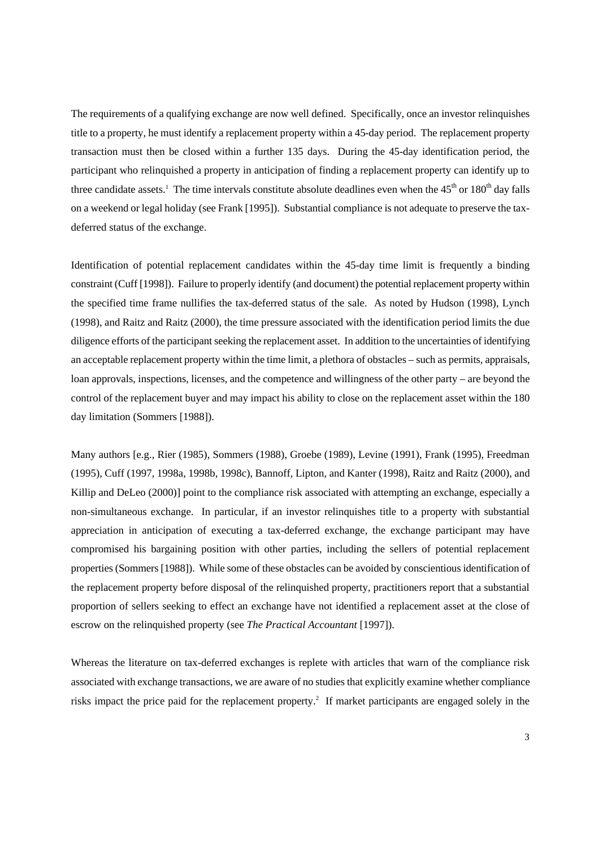The requirements of a qualifying exchange are now well defined. Specifically, once an investor relinquishes title to a property, he must identify a replacement property within a 45-day period. The replacement property transaction must then be closed within a further 135 days. During the 45-day identification period, the participant who relinquished a property in anticipation of finding a replacement property can identify up to three candidate assets.<sup>1</sup> The time intervals constitute absolute deadlines even when the  $45<sup>th</sup>$  or  $180<sup>th</sup>$  day falls on a weekend or legal holiday (see Frank [1995]). Substantial compliance is not adequate to preserve the taxdeferred status of the exchange.

Identification of potential replacement candidates within the 45-day time limit is frequently a binding constraint (Cuff [1998]). Failure to properly identify (and document) the potential replacement property within the specified time frame nullifies the tax-deferred status of the sale. As noted by Hudson (1998), Lynch (1998), and Raitz and Raitz (2000), the time pressure associated with the identification period limits the due diligence efforts of the participant seeking the replacement asset. In addition to the uncertainties of identifying an acceptable replacement property within the time limit, a plethora of obstacles – such as permits, appraisals, loan approvals, inspections, licenses, and the competence and willingness of the other party – are beyond the control of the replacement buyer and may impact his ability to close on the replacement asset within the 180 day limitation (Sommers [1988]).

Many authors [e.g., Rier (1985), Sommers (1988), Groebe (1989), Levine (1991), Frank (1995), Freedman (1995), Cuff (1997, 1998a, 1998b, 1998c), Bannoff, Lipton, and Kanter (1998), Raitz and Raitz (2000), and Killip and DeLeo (2000)] point to the compliance risk associated with attempting an exchange, especially a non-simultaneous exchange. In particular, if an investor relinquishes title to a property with substantial appreciation in anticipation of executing a tax-deferred exchange, the exchange participant may have compromised his bargaining position with other parties, including the sellers of potential replacement properties (Sommers [1988]). While some of these obstacles can be avoided by conscientious identification of the replacement property before disposal of the relinquished property, practitioners report that a substantial proportion of sellers seeking to effect an exchange have not identified a replacement asset at the close of escrow on the relinquished property (see *The Practical Accountant* [1997]).

Whereas the literature on tax-deferred exchanges is replete with articles that warn of the compliance risk associated with exchange transactions, we are aware of no studies that explicitly examine whether compliance risks impact the price paid for the replacement property.<sup>2</sup> If market participants are engaged solely in the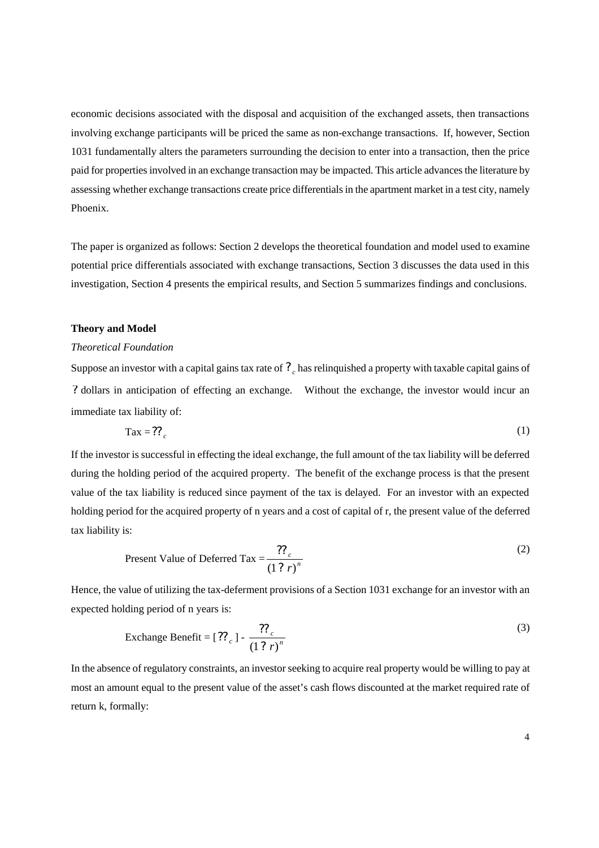economic decisions associated with the disposal and acquisition of the exchanged assets, then transactions involving exchange participants will be priced the same as non-exchange transactions. If, however, Section 1031 fundamentally alters the parameters surrounding the decision to enter into a transaction, then the price paid for properties involved in an exchange transaction may be impacted. This article advances the literature by assessing whether exchange transactions create price differentials in the apartment market in a test city, namely Phoenix.

The paper is organized as follows: Section 2 develops the theoretical foundation and model used to examine potential price differentials associated with exchange transactions, Section 3 discusses the data used in this investigation, Section 4 presents the empirical results, and Section 5 summarizes findings and conclusions.

## **Theory and Model**

#### *Theoretical Foundation*

Suppose an investor with a capital gains tax rate of *<sup>c</sup> ?* has relinquished a property with taxable capital gains of *?* dollars in anticipation of effecting an exchange. Without the exchange, the investor would incur an immediate tax liability of:

$$
\text{Tax} = ?\text{?}
$$

If the investor is successful in effecting the ideal exchange, the full amount of the tax liability will be deferred during the holding period of the acquired property. The benefit of the exchange process is that the present value of the tax liability is reduced since payment of the tax is delayed. For an investor with an expected holding period for the acquired property of n years and a cost of capital of r, the present value of the deferred tax liability is:

Present Value of Deferred Tax = 
$$
\frac{??_c}{(1 ? r)^n}
$$
 (2)

Hence, the value of utilizing the tax-deferment provisions of a Section 1031 exchange for an investor with an expected holding period of n years is:

$$
\text{Exchange benefit} = [?\mathbf{?} \cdot \frac{??\mathbf{?} \cdot (3)}{(1 ? \cdot r)^n}
$$

In the absence of regulatory constraints, an investor seeking to acquire real property would be willing to pay at most an amount equal to the present value of the asset's cash flows discounted at the market required rate of return k, formally: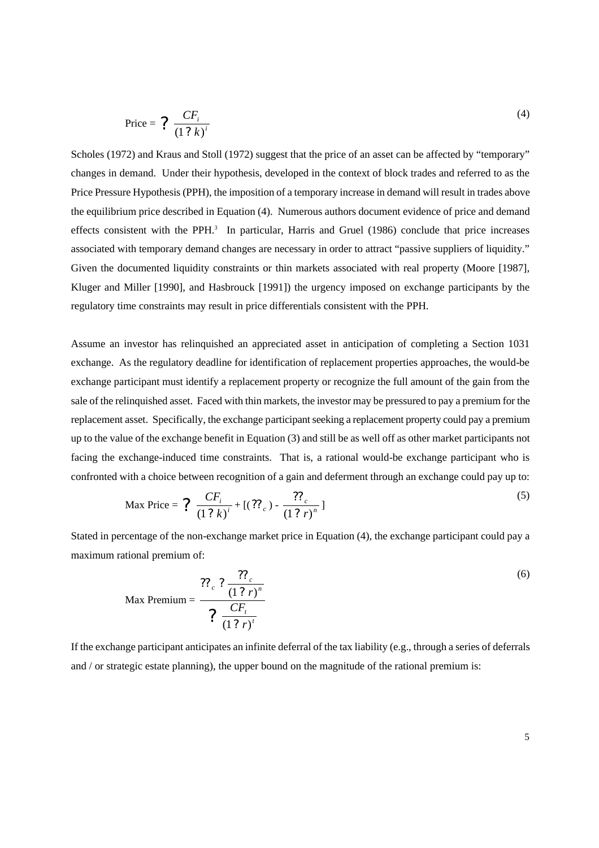$$
\text{Price} = ? \frac{CF_i}{(1 ? k)^i} \tag{4}
$$

Scholes (1972) and Kraus and Stoll (1972) suggest that the price of an asset can be affected by "temporary" changes in demand. Under their hypothesis, developed in the context of block trades and referred to as the Price Pressure Hypothesis (PPH), the imposition of a temporary increase in demand will result in trades above the equilibrium price described in Equation (4). Numerous authors document evidence of price and demand effects consistent with the PPH.<sup>3</sup> In particular, Harris and Gruel (1986) conclude that price increases associated with temporary demand changes are necessary in order to attract "passive suppliers of liquidity." Given the documented liquidity constraints or thin markets associated with real property (Moore [1987], Kluger and Miller [1990], and Hasbrouck [1991]) the urgency imposed on exchange participants by the regulatory time constraints may result in price differentials consistent with the PPH.

Assume an investor has relinquished an appreciated asset in anticipation of completing a Section 1031 exchange. As the regulatory deadline for identification of replacement properties approaches, the would-be exchange participant must identify a replacement property or recognize the full amount of the gain from the sale of the relinquished asset. Faced with thin markets, the investor may be pressured to pay a premium for the replacement asset. Specifically, the exchange participant seeking a replacement property could pay a premium up to the value of the exchange benefit in Equation (3) and still be as well off as other market participants not facing the exchange-induced time constraints. That is, a rational would-be exchange participant who is confronted with a choice between recognition of a gain and deferment through an exchange could pay up to:

$$
\text{Max Price} = \frac{C F_i}{(1 ? k)^i} + [(27 c)^2 - \frac{C F_i}{(1 ? r)^n}]
$$
\n<sup>(5)</sup>

Stated in percentage of the non-exchange market price in Equation (4), the exchange participant could pay a maximum rational premium of:

$$
\text{Max Premium} = \frac{27_c \cdot 2 \cdot \frac{27_c}{(1 \cdot 2 \cdot r)^n}}{2 \cdot \frac{CF_t}{(1 \cdot 2 \cdot r)^t}}
$$
(6)

If the exchange participant anticipates an infinite deferral of the tax liability (e.g., through a series of deferrals and / or strategic estate planning), the upper bound on the magnitude of the rational premium is: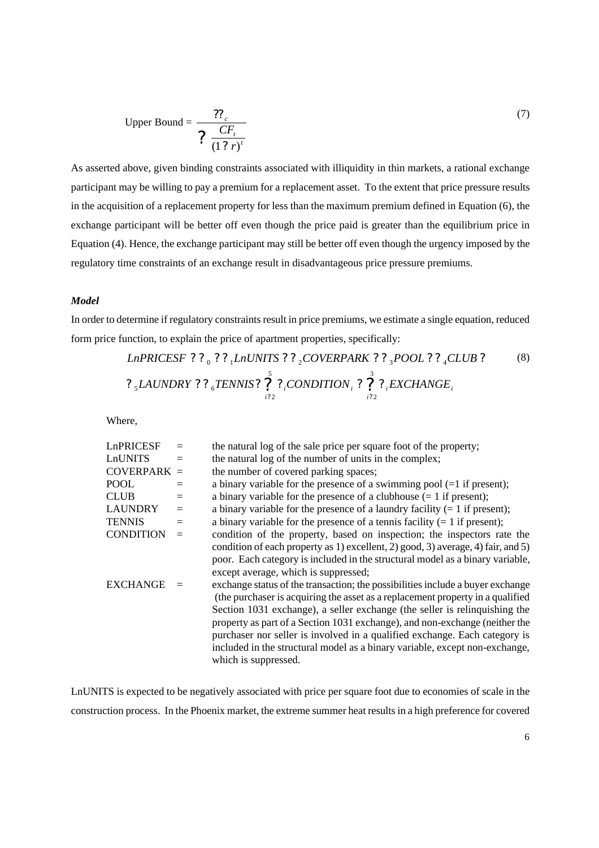Upper Bound = 
$$
\frac{?P_c}{? \frac{CF_t}{(1 ? r)^t}}
$$
 (7)

As asserted above, given binding constraints associated with illiquidity in thin markets, a rational exchange participant may be willing to pay a premium for a replacement asset. To the extent that price pressure results in the acquisition of a replacement property for less than the maximum premium defined in Equation (6), the exchange participant will be better off even though the price paid is greater than the equilibrium price in Equation (4). Hence, the exchange participant may still be better off even though the urgency imposed by the regulatory time constraints of an exchange result in disadvantageous price pressure premiums.

## *Model*

In order to determine if regulatory constraints result in price premiums, we estimate a single equation, reduced form price function, to explain the price of apartment properties, specifically:

*LnPRICESF* ? ? ? <sub>1</sub>*LnUNITS* ? ? <sub>2</sub>*COVERPARK* ? ? <sub>3</sub>*POOL* ? ? <sub>4</sub>*CLUB* ?  
\n? <sub>5</sub>*LAUNDRY* ? ? <sub>6</sub>*TENNIS* ? 
$$
\bigg\{\n \begin{array}{ccc}\n \stackrel{\circ}{2} & \circ \\
\quad \text{2} & \circ \\
\quad \text{2} & \circ \\
\quad \text{2} & \circ \\
\quad \text{2} & \circ\n \end{array}\n \bigg\}
$$
 ? <sub>6</sub>*ECHANGE* <sub>1</sub>

Where,

| LnPRICESF        | $=$ | the natural log of the sale price per square foot of the property;               |
|------------------|-----|----------------------------------------------------------------------------------|
| LnUNITS          | $=$ | the natural log of the number of units in the complex;                           |
| $COVERPARK =$    |     | the number of covered parking spaces;                                            |
| <b>POOL</b>      |     | a binary variable for the presence of a swimming pool $(=1$ if present);         |
| <b>CLUB</b>      | $=$ | a binary variable for the presence of a clubhouse $(= 1$ if present);            |
| <b>LAUNDRY</b>   | $=$ | a binary variable for the presence of a laundry facility $(= 1$ if present);     |
| <b>TENNIS</b>    | $=$ | a binary variable for the presence of a tennis facility $(= 1$ if present);      |
| <b>CONDITION</b> | $=$ | condition of the property, based on inspection; the inspectors rate the          |
|                  |     | condition of each property as 1) excellent, 2) good, 3) average, 4) fair, and 5) |
|                  |     | poor. Each category is included in the structural model as a binary variable,    |
|                  |     | except average, which is suppressed;                                             |
| <b>EXCHANGE</b>  |     | exchange status of the transaction; the possibilities include a buyer exchange   |
|                  |     | (the purchaser is acquiring the asset as a replacement property in a qualified   |
|                  |     | Section 1031 exchange), a seller exchange (the seller is relinquishing the       |
|                  |     | property as part of a Section 1031 exchange), and non-exchange (neither the      |
|                  |     | purchaser nor seller is involved in a qualified exchange. Each category is       |
|                  |     | included in the structural model as a binary variable, except non-exchange,      |
|                  |     | which is suppressed.                                                             |

LnUNITS is expected to be negatively associated with price per square foot due to economies of scale in the construction process. In the Phoenix market, the extreme summer heat results in a high preference for covered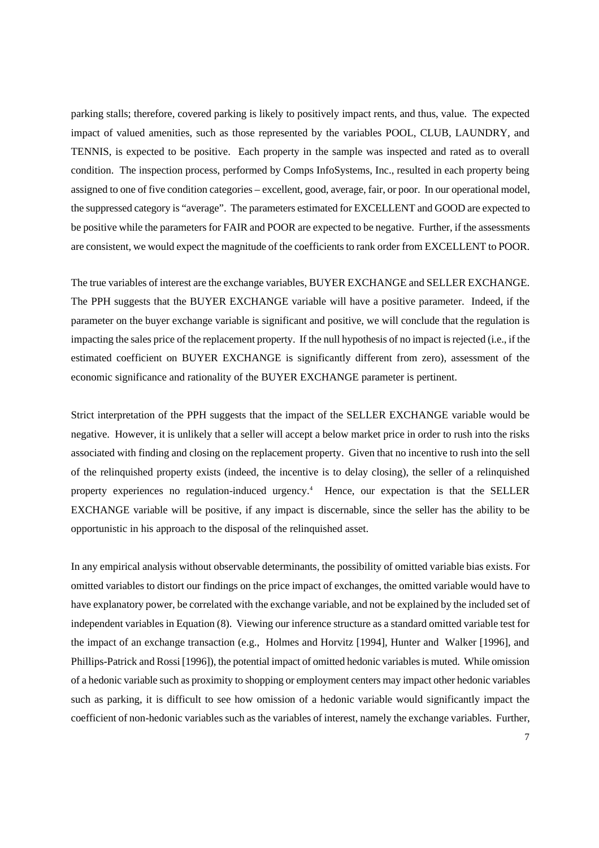parking stalls; therefore, covered parking is likely to positively impact rents, and thus, value. The expected impact of valued amenities, such as those represented by the variables POOL, CLUB, LAUNDRY, and TENNIS, is expected to be positive. Each property in the sample was inspected and rated as to overall condition. The inspection process, performed by Comps InfoSystems, Inc., resulted in each property being assigned to one of five condition categories – excellent, good, average, fair, or poor. In our operational model, the suppressed category is "average". The parameters estimated for EXCELLENT and GOOD are expected to be positive while the parameters for FAIR and POOR are expected to be negative. Further, if the assessments are consistent, we would expect the magnitude of the coefficients to rank order from EXCELLENT to POOR.

The true variables of interest are the exchange variables, BUYER EXCHANGE and SELLER EXCHANGE. The PPH suggests that the BUYER EXCHANGE variable will have a positive parameter. Indeed, if the parameter on the buyer exchange variable is significant and positive, we will conclude that the regulation is impacting the sales price of the replacement property. If the null hypothesis of no impact is rejected (i.e., if the estimated coefficient on BUYER EXCHANGE is significantly different from zero), assessment of the economic significance and rationality of the BUYER EXCHANGE parameter is pertinent.

Strict interpretation of the PPH suggests that the impact of the SELLER EXCHANGE variable would be negative. However, it is unlikely that a seller will accept a below market price in order to rush into the risks associated with finding and closing on the replacement property. Given that no incentive to rush into the sell of the relinquished property exists (indeed, the incentive is to delay closing), the seller of a relinquished property experiences no regulation-induced urgency.<sup>4</sup> Hence, our expectation is that the SELLER EXCHANGE variable will be positive, if any impact is discernable, since the seller has the ability to be opportunistic in his approach to the disposal of the relinquished asset.

In any empirical analysis without observable determinants, the possibility of omitted variable bias exists. For omitted variables to distort our findings on the price impact of exchanges, the omitted variable would have to have explanatory power, be correlated with the exchange variable, and not be explained by the included set of independent variables in Equation (8). Viewing our inference structure as a standard omitted variable test for the impact of an exchange transaction (e.g., Holmes and Horvitz [1994], Hunter and Walker [1996], and Phillips-Patrick and Rossi [1996]), the potential impact of omitted hedonic variables is muted. While omission of a hedonic variable such as proximity to shopping or employment centers may impact other hedonic variables such as parking, it is difficult to see how omission of a hedonic variable would significantly impact the coefficient of non-hedonic variables such as the variables of interest, namely the exchange variables. Further,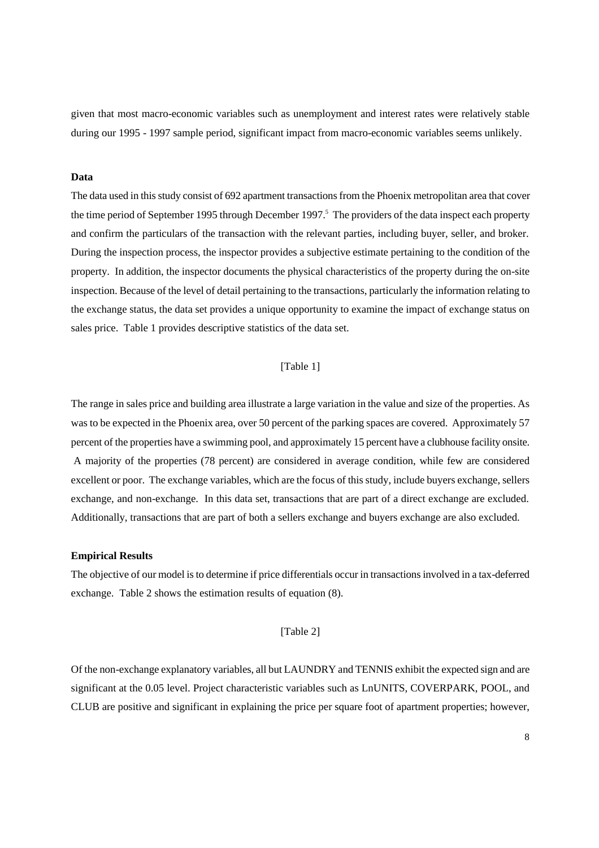given that most macro-economic variables such as unemployment and interest rates were relatively stable during our 1995 - 1997 sample period, significant impact from macro-economic variables seems unlikely.

#### **Data**

The data used in this study consist of 692 apartment transactions from the Phoenix metropolitan area that cover the time period of September 1995 through December 1997.<sup>5</sup> The providers of the data inspect each property and confirm the particulars of the transaction with the relevant parties, including buyer, seller, and broker. During the inspection process, the inspector provides a subjective estimate pertaining to the condition of the property. In addition, the inspector documents the physical characteristics of the property during the on-site inspection. Because of the level of detail pertaining to the transactions, particularly the information relating to the exchange status, the data set provides a unique opportunity to examine the impact of exchange status on sales price. Table 1 provides descriptive statistics of the data set.

## [Table 1]

The range in sales price and building area illustrate a large variation in the value and size of the properties. As was to be expected in the Phoenix area, over 50 percent of the parking spaces are covered. Approximately 57 percent of the properties have a swimming pool, and approximately 15 percent have a clubhouse facility onsite. A majority of the properties (78 percent) are considered in average condition, while few are considered excellent or poor. The exchange variables, which are the focus of this study, include buyers exchange, sellers exchange, and non-exchange. In this data set, transactions that are part of a direct exchange are excluded. Additionally, transactions that are part of both a sellers exchange and buyers exchange are also excluded.

#### **Empirical Results**

The objective of our model is to determine if price differentials occur in transactions involved in a tax-deferred exchange. Table 2 shows the estimation results of equation (8).

#### [Table 2]

Of the non-exchange explanatory variables, all but LAUNDRY and TENNIS exhibit the expected sign and are significant at the 0.05 level. Project characteristic variables such as LnUNITS, COVERPARK, POOL, and CLUB are positive and significant in explaining the price per square foot of apartment properties; however,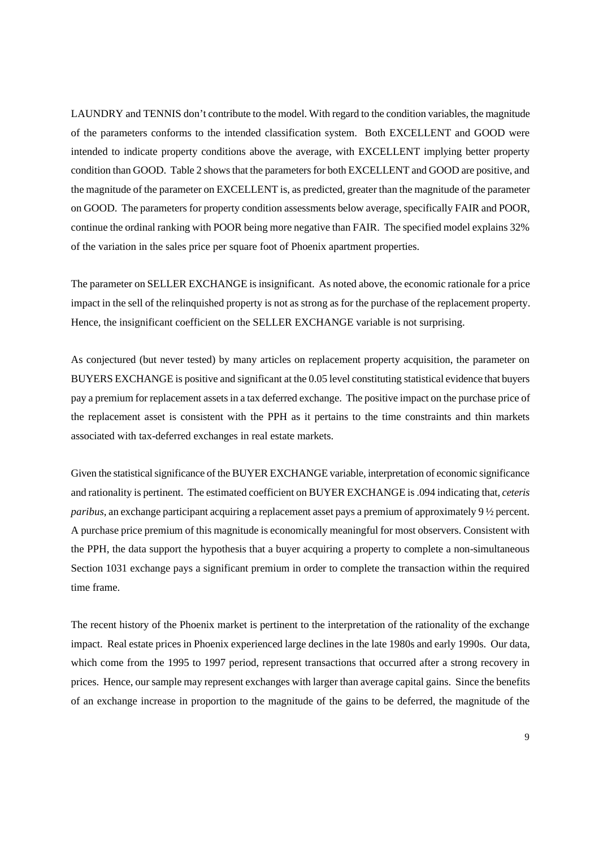LAUNDRY and TENNIS don't contribute to the model. With regard to the condition variables, the magnitude of the parameters conforms to the intended classification system. Both EXCELLENT and GOOD were intended to indicate property conditions above the average, with EXCELLENT implying better property condition than GOOD. Table 2 shows that the parameters for both EXCELLENT and GOOD are positive, and the magnitude of the parameter on EXCELLENT is, as predicted, greater than the magnitude of the parameter on GOOD. The parameters for property condition assessments below average, specifically FAIR and POOR, continue the ordinal ranking with POOR being more negative than FAIR. The specified model explains 32% of the variation in the sales price per square foot of Phoenix apartment properties.

The parameter on SELLER EXCHANGE is insignificant. As noted above, the economic rationale for a price impact in the sell of the relinquished property is not as strong as for the purchase of the replacement property. Hence, the insignificant coefficient on the SELLER EXCHANGE variable is not surprising.

As conjectured (but never tested) by many articles on replacement property acquisition, the parameter on BUYERS EXCHANGE is positive and significant at the 0.05 level constituting statistical evidence that buyers pay a premium for replacement assets in a tax deferred exchange. The positive impact on the purchase price of the replacement asset is consistent with the PPH as it pertains to the time constraints and thin markets associated with tax-deferred exchanges in real estate markets.

Given the statistical significance of the BUYER EXCHANGE variable, interpretation of economic significance and rationality is pertinent. The estimated coefficient on BUYER EXCHANGE is .094 indicating that, *ceteris paribus*, an exchange participant acquiring a replacement asset pays a premium of approximately 9 ½ percent. A purchase price premium of this magnitude is economically meaningful for most observers. Consistent with the PPH, the data support the hypothesis that a buyer acquiring a property to complete a non-simultaneous Section 1031 exchange pays a significant premium in order to complete the transaction within the required time frame.

The recent history of the Phoenix market is pertinent to the interpretation of the rationality of the exchange impact. Real estate prices in Phoenix experienced large declines in the late 1980s and early 1990s. Our data, which come from the 1995 to 1997 period, represent transactions that occurred after a strong recovery in prices. Hence, our sample may represent exchanges with larger than average capital gains. Since the benefits of an exchange increase in proportion to the magnitude of the gains to be deferred, the magnitude of the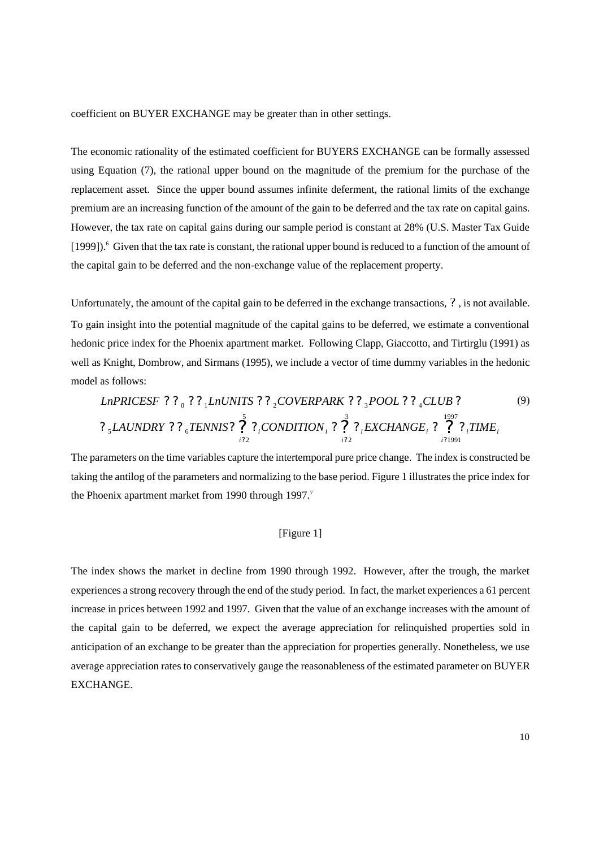coefficient on BUYER EXCHANGE may be greater than in other settings.

The economic rationality of the estimated coefficient for BUYERS EXCHANGE can be formally assessed using Equation (7), the rational upper bound on the magnitude of the premium for the purchase of the replacement asset. Since the upper bound assumes infinite deferment, the rational limits of the exchange premium are an increasing function of the amount of the gain to be deferred and the tax rate on capital gains. However, the tax rate on capital gains during our sample period is constant at 28% (U.S. Master Tax Guide [1999]).<sup>6</sup> Given that the tax rate is constant, the rational upper bound is reduced to a function of the amount of the capital gain to be deferred and the non-exchange value of the replacement property.

Unfortunately, the amount of the capital gain to be deferred in the exchange transactions, *?* , is not available. To gain insight into the potential magnitude of the capital gains to be deferred, we estimate a conventional hedonic price index for the Phoenix apartment market. Following Clapp, Giaccotto, and Tirtirglu (1991) as well as Knight, Dombrow, and Sirmans (1995), we include a vector of time dummy variables in the hedonic model as follows:

\n
$$
\text{LnPRICESF} \ ? \ ? \ ? \ ? \ \text{LnUNITS} \ ? \ ? \ \text{COVERPARK} \ ? \ ? \ \text{POOL} \ ? \ \text{CCLUB} \ ?
$$
\n

\n\n $\text{2} \ \text{5} \ \text{LANDRY} \ ? \ \ \text{6} \ \text{TENNIS} \ ? \ \ \text{7} \ \ \text{2} \ \text{CONDITION} \ ? \ \ \text{7} \ \ \text{7} \ \ \text{7} \ \ \text{7} \ \ \text{7} \ \ \text{7} \ \ \text{7} \ \ \text{7} \ \ \text{7} \ \ \text{7} \ \ \text{7} \ \ \text{7} \ \ \text{7} \ \ \text{7} \ \ \text{7} \ \ \text{7} \ \ \text{7} \ \ \text{7} \ \ \text{7} \ \ \text{7} \ \ \text{7} \ \ \text{7} \ \ \text{7} \ \ \text{7} \ \ \text{8} \ \ \text{8} \ \ \text{9} \ \ \text{10} \ \ \text{11} \ \ \text{12} \ \ \text{13} \ \ \text{14} \ \ \text{15} \ \ \text{16} \ \ \text{17} \ \ \text{18} \ \ \text{19} \ \ \text{19} \ \ \text{19} \ \ \text{19} \ \ \text{19} \ \ \text{19} \ \ \text{19} \ \ \text{19} \ \ \text{19} \ \ \text{19} \ \ \text{19} \ \ \text{19} \ \ \text{19} \ \ \text{19} \ \ \text{19} \ \ \text{19} \ \ \text{19} \ \ \text{19} \ \ \text{19} \ \ \text{10} \ \ \text{10} \ \ \text{10} \ \ \text{10} \ \ \text{10} \ \ \text{11} \ \ \text{12} \ \ \text{13} \ \ \text{16} \ \ \text{16} \ \ \text{17} \ \ \text{18} \ \ \text{19} \ \ \text{19} \ \ \text{10} \ \ \text{10} \ \ \text{10} \ \ \text{11} \ \ \text{12} \ \ \text{13} \ \ \text{16} \ \ \text{16} \ \ \text{17} \ \ \text{18} \ \ \text{19} \ \ \text{19} \ \ \$ 

The parameters on the time variables capture the intertemporal pure price change. The index is constructed be taking the antilog of the parameters and normalizing to the base period. Figure 1 illustrates the price index for the Phoenix apartment market from 1990 through 1997.<sup>7</sup>

## [Figure 1]

The index shows the market in decline from 1990 through 1992. However, after the trough, the market experiences a strong recovery through the end of the study period. In fact, the market experiences a 61 percent increase in prices between 1992 and 1997. Given that the value of an exchange increases with the amount of the capital gain to be deferred, we expect the average appreciation for relinquished properties sold in anticipation of an exchange to be greater than the appreciation for properties generally. Nonetheless, we use average appreciation rates to conservatively gauge the reasonableness of the estimated parameter on BUYER EXCHANGE.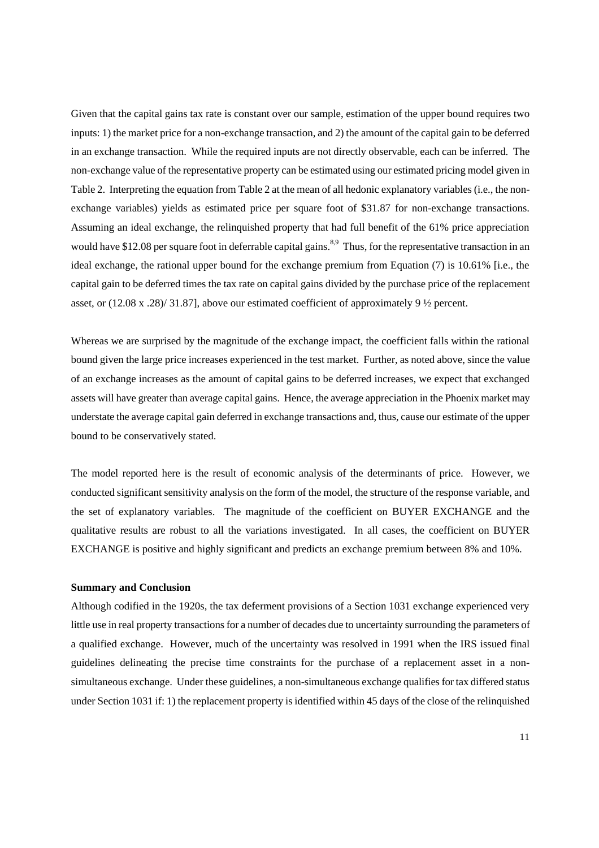Given that the capital gains tax rate is constant over our sample, estimation of the upper bound requires two inputs: 1) the market price for a non-exchange transaction, and 2) the amount of the capital gain to be deferred in an exchange transaction. While the required inputs are not directly observable, each can be inferred. The non-exchange value of the representative property can be estimated using our estimated pricing model given in Table 2. Interpreting the equation from Table 2 at the mean of all hedonic explanatory variables (i.e., the nonexchange variables) yields as estimated price per square foot of \$31.87 for non-exchange transactions. Assuming an ideal exchange, the relinquished property that had full benefit of the 61% price appreciation would have \$12.08 per square foot in deferrable capital gains. <sup>8,9</sup> Thus, for the representative transaction in an ideal exchange, the rational upper bound for the exchange premium from Equation (7) is 10.61% [i.e., the capital gain to be deferred times the tax rate on capital gains divided by the purchase price of the replacement asset, or (12.08 x .28)/ 31.87], above our estimated coefficient of approximately 9 ½ percent.

Whereas we are surprised by the magnitude of the exchange impact, the coefficient falls within the rational bound given the large price increases experienced in the test market. Further, as noted above, since the value of an exchange increases as the amount of capital gains to be deferred increases, we expect that exchanged assets will have greater than average capital gains. Hence, the average appreciation in the Phoenix market may understate the average capital gain deferred in exchange transactions and, thus, cause our estimate of the upper bound to be conservatively stated.

The model reported here is the result of economic analysis of the determinants of price. However, we conducted significant sensitivity analysis on the form of the model, the structure of the response variable, and the set of explanatory variables. The magnitude of the coefficient on BUYER EXCHANGE and the qualitative results are robust to all the variations investigated. In all cases, the coefficient on BUYER EXCHANGE is positive and highly significant and predicts an exchange premium between 8% and 10%.

## **Summary and Conclusion**

Although codified in the 1920s, the tax deferment provisions of a Section 1031 exchange experienced very little use in real property transactions for a number of decades due to uncertainty surrounding the parameters of a qualified exchange. However, much of the uncertainty was resolved in 1991 when the IRS issued final guidelines delineating the precise time constraints for the purchase of a replacement asset in a nonsimultaneous exchange. Under these guidelines, a non-simultaneous exchange qualifies for tax differed status under Section 1031 if: 1) the replacement property is identified within 45 days of the close of the relinquished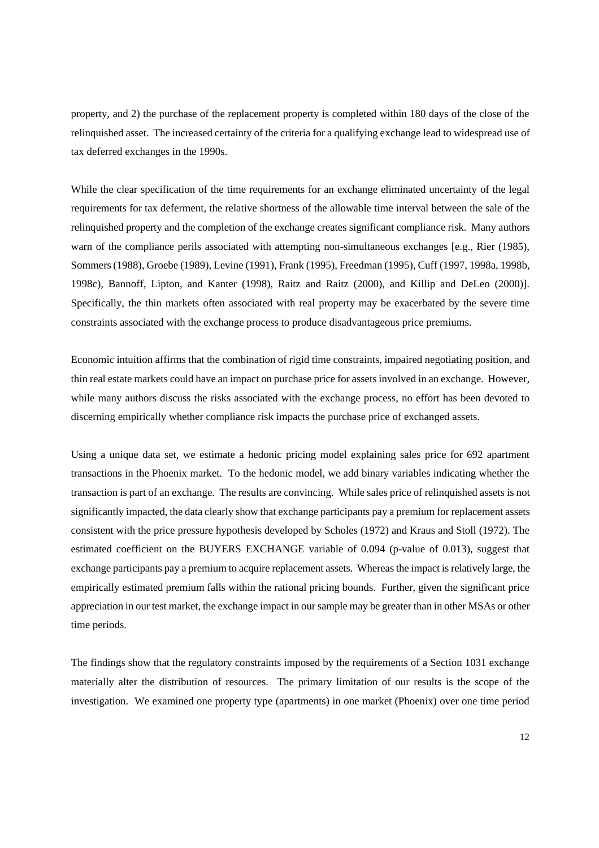property, and 2) the purchase of the replacement property is completed within 180 days of the close of the relinquished asset. The increased certainty of the criteria for a qualifying exchange lead to widespread use of tax deferred exchanges in the 1990s.

While the clear specification of the time requirements for an exchange eliminated uncertainty of the legal requirements for tax deferment, the relative shortness of the allowable time interval between the sale of the relinquished property and the completion of the exchange creates significant compliance risk. Many authors warn of the compliance perils associated with attempting non-simultaneous exchanges [e.g., Rier (1985), Sommers (1988), Groebe (1989), Levine (1991), Frank (1995), Freedman (1995), Cuff (1997, 1998a, 1998b, 1998c), Bannoff, Lipton, and Kanter (1998), Raitz and Raitz (2000), and Killip and DeLeo (2000)]. Specifically, the thin markets often associated with real property may be exacerbated by the severe time constraints associated with the exchange process to produce disadvantageous price premiums.

Economic intuition affirms that the combination of rigid time constraints, impaired negotiating position, and thin real estate markets could have an impact on purchase price for assets involved in an exchange. However, while many authors discuss the risks associated with the exchange process, no effort has been devoted to discerning empirically whether compliance risk impacts the purchase price of exchanged assets.

Using a unique data set, we estimate a hedonic pricing model explaining sales price for 692 apartment transactions in the Phoenix market. To the hedonic model, we add binary variables indicating whether the transaction is part of an exchange. The results are convincing. While sales price of relinquished assets is not significantly impacted, the data clearly show that exchange participants pay a premium for replacement assets consistent with the price pressure hypothesis developed by Scholes (1972) and Kraus and Stoll (1972). The estimated coefficient on the BUYERS EXCHANGE variable of 0.094 (p-value of 0.013), suggest that exchange participants pay a premium to acquire replacement assets. Whereas the impact is relatively large, the empirically estimated premium falls within the rational pricing bounds. Further, given the significant price appreciation in our test market, the exchange impact in our sample may be greater than in other MSAs or other time periods.

The findings show that the regulatory constraints imposed by the requirements of a Section 1031 exchange materially alter the distribution of resources. The primary limitation of our results is the scope of the investigation. We examined one property type (apartments) in one market (Phoenix) over one time period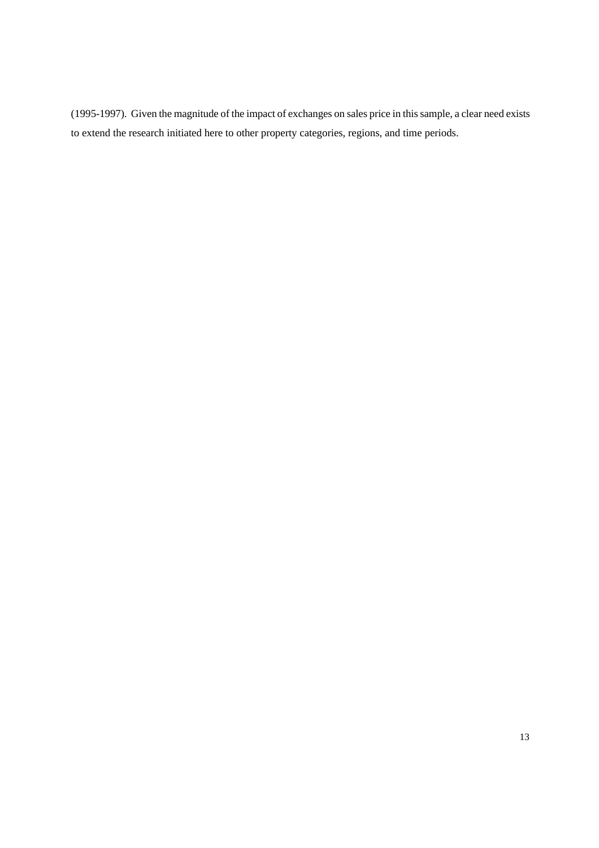(1995-1997). Given the magnitude of the impact of exchanges on sales price in this sample, a clear need exists to extend the research initiated here to other property categories, regions, and time periods.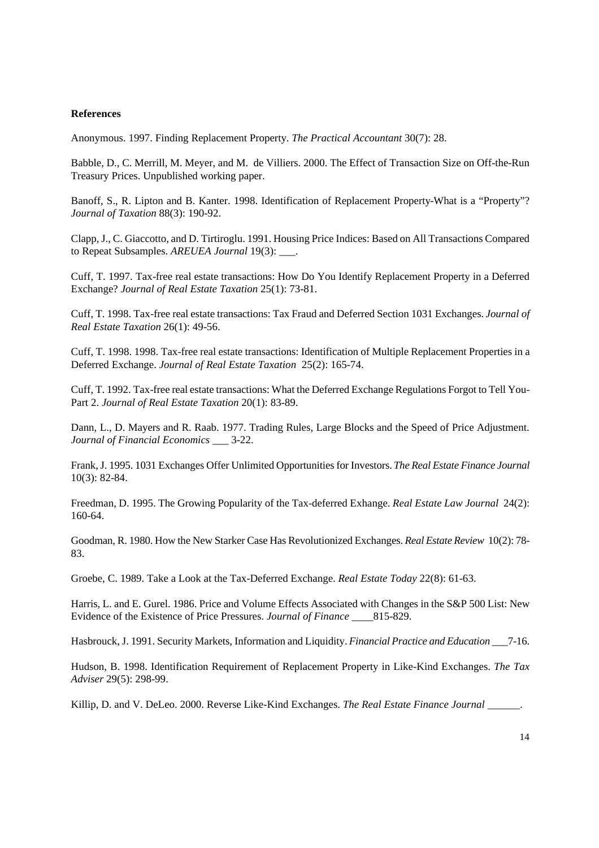## **References**

Anonymous. 1997. Finding Replacement Property. *The Practical Accountant* 30(7): 28.

Babble, D., C. Merrill, M. Meyer, and M. de Villiers. 2000. The Effect of Transaction Size on Off-the-Run Treasury Prices. Unpublished working paper.

Banoff, S., R. Lipton and B. Kanter. 1998. Identification of Replacement Property-What is a "Property"? *Journal of Taxation* 88(3): 190-92.

Clapp, J., C. Giaccotto, and D. Tirtiroglu. 1991. Housing Price Indices: Based on All Transactions Compared to Repeat Subsamples. *AREUEA Journal* 19(3): \_\_\_.

Cuff, T. 1997. Tax-free real estate transactions: How Do You Identify Replacement Property in a Deferred Exchange? *Journal of Real Estate Taxation* 25(1): 73-81.

Cuff, T. 1998. Tax-free real estate transactions: Tax Fraud and Deferred Section 1031 Exchanges. *Journal of Real Estate Taxation* 26(1): 49-56.

Cuff, T. 1998. 1998. Tax-free real estate transactions: Identification of Multiple Replacement Properties in a Deferred Exchange. *Journal of Real Estate Taxation* 25(2): 165-74.

Cuff, T. 1992. Tax-free real estate transactions: What the Deferred Exchange Regulations Forgot to Tell You-Part 2. *Journal of Real Estate Taxation* 20(1): 83-89.

Dann, L., D. Mayers and R. Raab. 1977. Trading Rules, Large Blocks and the Speed of Price Adjustment. *Journal of Financial Economics \_\_\_* 3-22.

Frank, J. 1995. 1031 Exchanges Offer Unlimited Opportunities for Investors. *The Real Estate Finance Journal* 10(3): 82-84.

Freedman, D. 1995. The Growing Popularity of the Tax-deferred Exhange. *Real Estate Law Journal* 24(2): 160-64.

Goodman, R. 1980. How the New Starker Case Has Revolutionized Exchanges. *Real Estate Review* 10(2): 78- 83.

Groebe, C. 1989. Take a Look at the Tax-Deferred Exchange. *Real Estate Today* 22(8): 61-63.

Harris, L. and E. Gurel. 1986. Price and Volume Effects Associated with Changes in the S&P 500 List: New Evidence of the Existence of Price Pressures. *Journal of Finance \_\_\_\_*815-829.

Hasbrouck, J. 1991. Security Markets, Information and Liquidity. *Financial Practice and Education* \_\_\_7-16.

Hudson, B. 1998. Identification Requirement of Replacement Property in Like-Kind Exchanges. *The Tax Adviser* 29(5): 298-99.

Killip, D. and V. DeLeo. 2000. Reverse Like-Kind Exchanges. *The Real Estate Finance Journal* \_\_\_\_\_\_.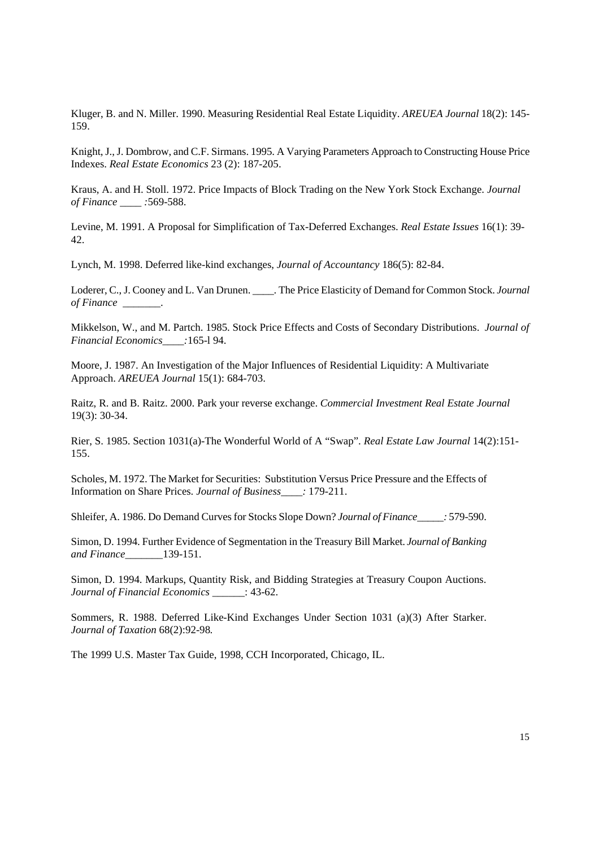Kluger, B. and N. Miller. 1990. Measuring Residential Real Estate Liquidity. *AREUEA Journal* 18(2): 145- 159.

Knight, J., J. Dombrow, and C.F. Sirmans. 1995. A Varying Parameters Approach to Constructing House Price Indexes. *Real Estate Economics* 23 (2): 187-205.

Kraus, A. and H. Stoll. 1972. Price Impacts of Block Trading on the New York Stock Exchange. *Journal of Finance \_\_\_\_ :*569-588.

Levine, M. 1991. A Proposal for Simplification of Tax-Deferred Exchanges. *Real Estate Issues* 16(1): 39- 42.

Lynch, M. 1998. Deferred like-kind exchanges, *Journal of Accountancy* 186(5): 82-84.

Loderer, C., J. Cooney and L. Van Drunen. \_\_\_\_. The Price Elasticity of Demand for Common Stock. *Journal of Finance \_\_\_\_\_\_\_*.

Mikkelson, W., and M. Partch. 1985. Stock Price Effects and Costs of Secondary Distributions. *Journal of Financial Economics\_\_\_\_:*165-l 94.

Moore, J. 1987. An Investigation of the Major Influences of Residential Liquidity: A Multivariate Approach. *AREUEA Journal* 15(1): 684-703.

Raitz, R. and B. Raitz. 2000. Park your reverse exchange. *Commercial Investment Real Estate Journal*  19(3): 30-34.

Rier, S. 1985. Section 1031(a)-The Wonderful World of A "Swap". *Real Estate Law Journal* 14(2):151- 155.

Scholes, M. 1972. The Market for Securities: Substitution Versus Price Pressure and the Effects of Information on Share Prices. *Journal of Business\_\_\_\_:* 179-211.

Shleifer, A. 1986. Do Demand Curves for Stocks Slope Down? *Journal of Finance\_\_\_\_\_:* 579-590.

Simon, D. 1994. Further Evidence of Segmentation in the Treasury Bill Market. *Journal of Banking and Finance\_\_\_\_\_\_\_*139-151.

Simon, D. 1994. Markups, Quantity Risk, and Bidding Strategies at Treasury Coupon Auctions. *Journal of Financial Economics* \_\_\_\_\_\_: 43-62.

Sommers, R. 1988. Deferred Like-Kind Exchanges Under Section 1031 (a)(3) After Starker. *Journal of Taxation* 68(2):92-98*.*

The 1999 U.S. Master Tax Guide, 1998, CCH Incorporated, Chicago, IL.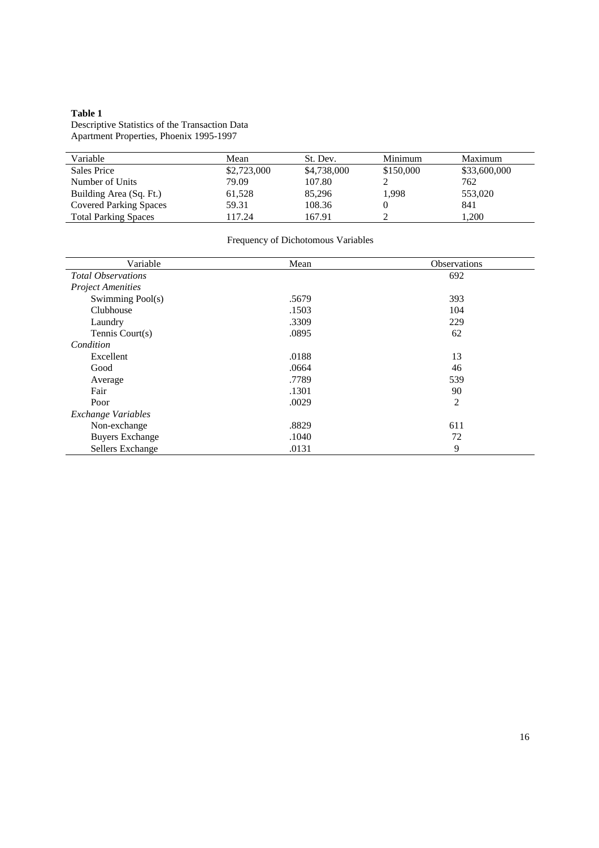#### **Table 1**

Descriptive Statistics of the Transaction Data Apartment Properties, Phoenix 1995-1997

| Variable                      | Mean        | St. Dev.    | Minimum   | Maximum      |
|-------------------------------|-------------|-------------|-----------|--------------|
| Sales Price                   | \$2,723,000 | \$4,738,000 | \$150,000 | \$33,600,000 |
| Number of Units               | 79.09       | 107.80      |           | 762          |
| Building Area (Sq. Ft.)       | 61,528      | 85,296      | 1.998     | 553,020      |
| <b>Covered Parking Spaces</b> | 59.31       | 108.36      |           | 841          |
| <b>Total Parking Spaces</b>   | 117.24      | 167.91      |           | 1,200        |

| Variable                  | Mean  | <b>Observations</b> |
|---------------------------|-------|---------------------|
| <b>Total Observations</b> |       | 692                 |
| <b>Project Amenities</b>  |       |                     |
| Swimming Pool(s)          | .5679 | 393                 |
| Clubhouse                 | .1503 | 104                 |
| Laundry                   | .3309 | 229                 |
| Tennis Court(s)           | .0895 | 62                  |
| Condition                 |       |                     |
| Excellent                 | .0188 | 13                  |
| Good                      | .0664 | 46                  |
| Average                   | .7789 | 539                 |
| Fair                      | .1301 | 90                  |
| Poor                      | .0029 | $\mathfrak{2}$      |
| <b>Exchange Variables</b> |       |                     |
| Non-exchange              | .8829 | 611                 |
| <b>Buyers Exchange</b>    | .1040 | 72                  |
| Sellers Exchange          | .0131 | 9                   |

## Frequency of Dichotomous Variables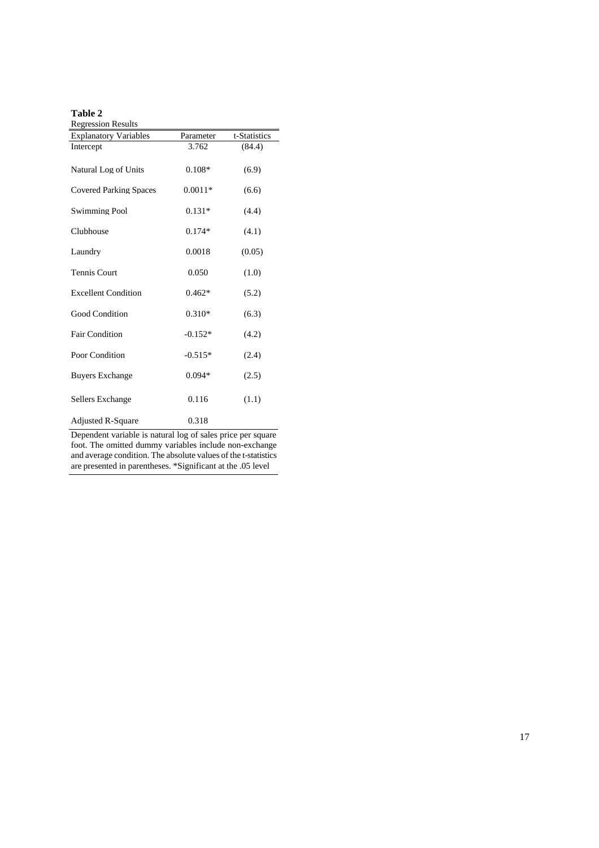| ۰.<br>٠<br>۰, |  |
|---------------|--|
|---------------|--|

| <b>Regression Results</b>     |           |              |
|-------------------------------|-----------|--------------|
| <b>Explanatory Variables</b>  | Parameter | t-Statistics |
| Intercept                     | 3.762     | (84.4)       |
| Natural Log of Units          | $0.108*$  | (6.9)        |
| <b>Covered Parking Spaces</b> | $0.0011*$ | (6.6)        |
| <b>Swimming Pool</b>          | $0.131*$  | (4.4)        |
| Clubhouse                     | $0.174*$  | (4.1)        |
| Laundry                       | 0.0018    | (0.05)       |
| <b>Tennis Court</b>           | 0.050     | (1.0)        |
| <b>Excellent Condition</b>    | $0.462*$  | (5.2)        |
| <b>Good Condition</b>         | $0.310*$  | (6.3)        |
| <b>Fair Condition</b>         | $-0.152*$ | (4.2)        |
| Poor Condition                | $-0.515*$ | (2.4)        |
| <b>Buyers Exchange</b>        | $0.094*$  | (2.5)        |
| Sellers Exchange              | 0.116     | (1.1)        |
| <b>Adjusted R-Square</b>      | 0.318     |              |

Dependent variable is natural log of sales price per square foot. The omitted dummy variables include non-exchange and average condition. The absolute values of the t-statistics are presented in parentheses. \*Significant at the .05 level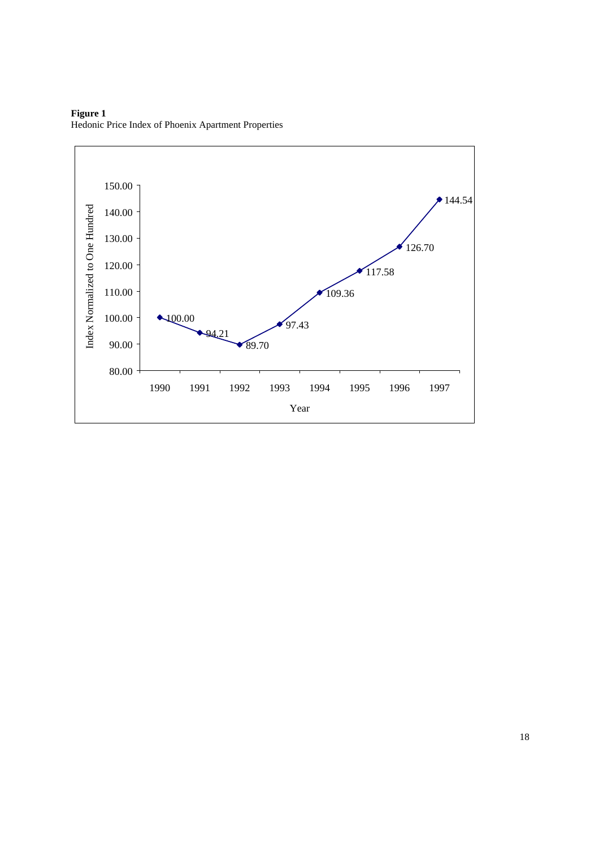

**Figure 1** Hedonic Price Index of Phoenix Apartment Properties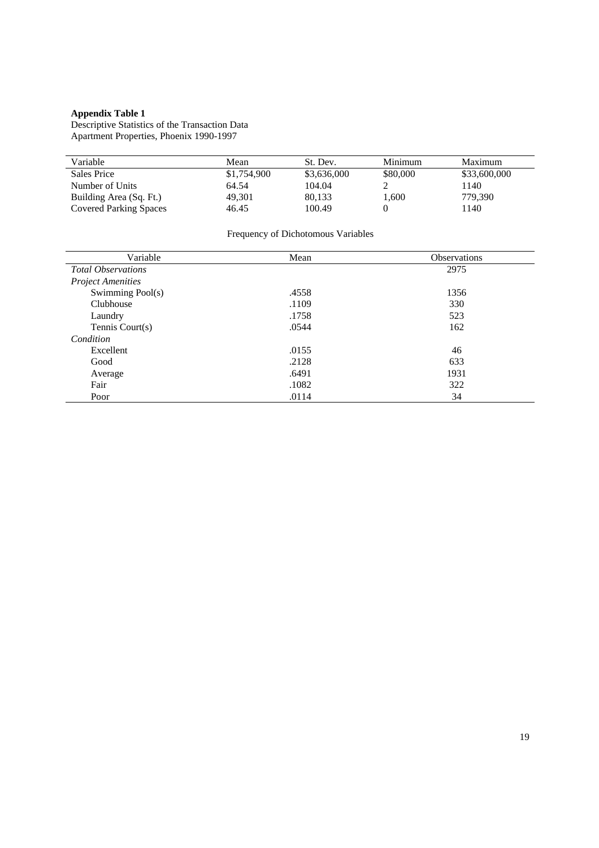#### **Appendix Table 1**

Descriptive Statistics of the Transaction Data Apartment Properties, Phoenix 1990-1997

| Variable                      | Mean        | St. Dev.    | Minimum  | Maximum      |
|-------------------------------|-------------|-------------|----------|--------------|
| Sales Price                   | \$1,754,900 | \$3,636,000 | \$80,000 | \$33,600,000 |
| Number of Units               | 64.54       | 104.04      |          | 1140         |
| Building Area (Sq. Ft.)       | 49.301      | 80.133      | 1,600    | 779.390      |
| <b>Covered Parking Spaces</b> | 46.45       | 100.49      |          | 1140         |

# Frequency of Dichotomous Variables

| Variable                  | Mean  | <b>Observations</b> |
|---------------------------|-------|---------------------|
| <b>Total Observations</b> |       | 2975                |
| <b>Project Amenities</b>  |       |                     |
| Swimming Pool(s)          | .4558 | 1356                |
| Clubhouse                 | .1109 | 330                 |
| Laundry                   | .1758 | 523                 |
| Tennis Court(s)           | .0544 | 162                 |
| Condition                 |       |                     |
| Excellent                 | .0155 | 46                  |
| Good                      | .2128 | 633                 |
| Average                   | .6491 | 1931                |
| Fair                      | .1082 | 322                 |
| Poor                      | .0114 | 34                  |